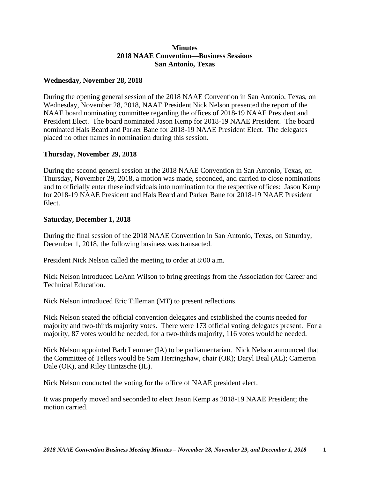## **Minutes 2018 NAAE Convention—Business Sessions San Antonio, Texas**

## **Wednesday, November 28, 2018**

During the opening general session of the 2018 NAAE Convention in San Antonio, Texas, on Wednesday, November 28, 2018, NAAE President Nick Nelson presented the report of the NAAE board nominating committee regarding the offices of 2018-19 NAAE President and President Elect. The board nominated Jason Kemp for 2018-19 NAAE President. The board nominated Hals Beard and Parker Bane for 2018-19 NAAE President Elect. The delegates placed no other names in nomination during this session.

## **Thursday, November 29, 2018**

During the second general session at the 2018 NAAE Convention in San Antonio, Texas, on Thursday, November 29, 2018, a motion was made, seconded, and carried to close nominations and to officially enter these individuals into nomination for the respective offices: Jason Kemp for 2018-19 NAAE President and Hals Beard and Parker Bane for 2018-19 NAAE President Elect.

## **Saturday, December 1, 2018**

During the final session of the 2018 NAAE Convention in San Antonio, Texas, on Saturday, December 1, 2018, the following business was transacted.

President Nick Nelson called the meeting to order at 8:00 a.m.

Nick Nelson introduced LeAnn Wilson to bring greetings from the Association for Career and Technical Education.

Nick Nelson introduced Eric Tilleman (MT) to present reflections.

Nick Nelson seated the official convention delegates and established the counts needed for majority and two-thirds majority votes. There were 173 official voting delegates present. For a majority, 87 votes would be needed; for a two-thirds majority, 116 votes would be needed.

Nick Nelson appointed Barb Lemmer (IA) to be parliamentarian. Nick Nelson announced that the Committee of Tellers would be Sam Herringshaw, chair (OR); Daryl Beal (AL); Cameron Dale (OK), and Riley Hintzsche (IL).

Nick Nelson conducted the voting for the office of NAAE president elect.

It was properly moved and seconded to elect Jason Kemp as 2018-19 NAAE President; the motion carried.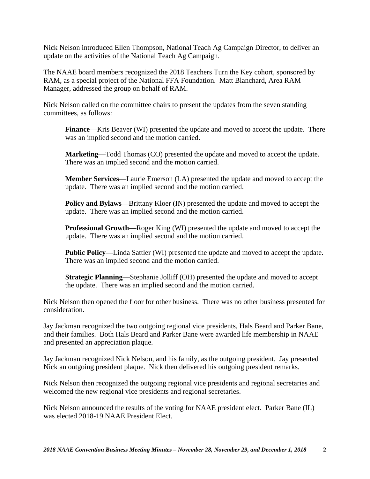Nick Nelson introduced Ellen Thompson, National Teach Ag Campaign Director, to deliver an update on the activities of the National Teach Ag Campaign.

The NAAE board members recognized the 2018 Teachers Turn the Key cohort, sponsored by RAM, as a special project of the National FFA Foundation. Matt Blanchard, Area RAM Manager, addressed the group on behalf of RAM.

Nick Nelson called on the committee chairs to present the updates from the seven standing committees, as follows:

**Finance**—Kris Beaver (WI) presented the update and moved to accept the update. There was an implied second and the motion carried.

**Marketing**—Todd Thomas (CO) presented the update and moved to accept the update. There was an implied second and the motion carried.

**Member Services**—Laurie Emerson (LA) presented the update and moved to accept the update. There was an implied second and the motion carried.

**Policy and Bylaws—Brittany Kloer (IN) presented the update and moved to accept the** update. There was an implied second and the motion carried.

**Professional Growth**—Roger King (WI) presented the update and moved to accept the update. There was an implied second and the motion carried.

**Public Policy**—Linda Sattler (WI) presented the update and moved to accept the update. There was an implied second and the motion carried.

**Strategic Planning**—Stephanie Jolliff (OH) presented the update and moved to accept the update. There was an implied second and the motion carried.

Nick Nelson then opened the floor for other business. There was no other business presented for consideration.

Jay Jackman recognized the two outgoing regional vice presidents, Hals Beard and Parker Bane, and their families. Both Hals Beard and Parker Bane were awarded life membership in NAAE and presented an appreciation plaque.

Jay Jackman recognized Nick Nelson, and his family, as the outgoing president. Jay presented Nick an outgoing president plaque. Nick then delivered his outgoing president remarks.

Nick Nelson then recognized the outgoing regional vice presidents and regional secretaries and welcomed the new regional vice presidents and regional secretaries.

Nick Nelson announced the results of the voting for NAAE president elect. Parker Bane (IL) was elected 2018-19 NAAE President Elect.